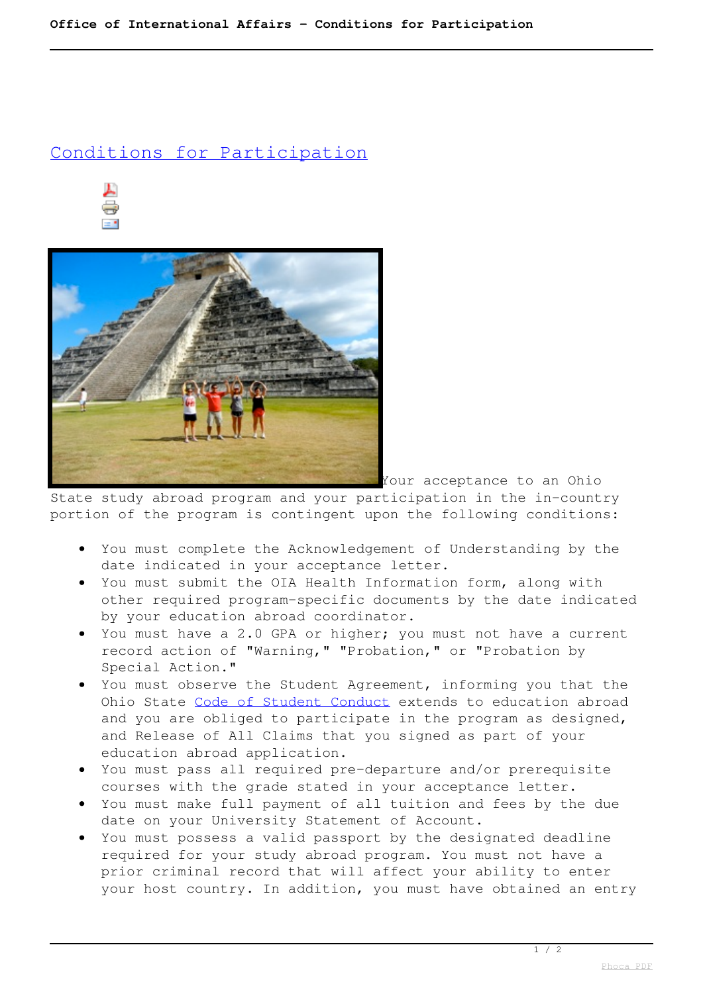## Conditions for Participation





Your acceptance to an Ohio

State study abroad program and your participation in the in-country portion of the program is contingent upon the following conditions:

- You must complete the Acknowledgement of Understanding by the date indicated in your acceptance letter.
- You must submit the OIA Health Information form, along with other required program-specific documents by the date indicated by your education abroad coordinator.
- You must have a 2.0 GPA or higher; you must not have a current record action of "Warning," "Probation," or "Probation by Special Action."
- You must observe the Student Agreement, informing you that the Ohio State Code of Student Conduct extends to education abroad and you are obliged to participate in the program as designed, and Release of All Claims that you signed as part of your education abroad application.
- You must pass all required pre-departure and/or prerequisite courses with the grade stated in your acceptance letter.
- You must make full payment of all tuition and fees by the due date on your University Statement of Account.
- You must possess a valid passport by the designated deadline required for your study abroad program. You must not have a prior criminal record that will affect your ability to enter your host country. In addition, you must have obtained an entry